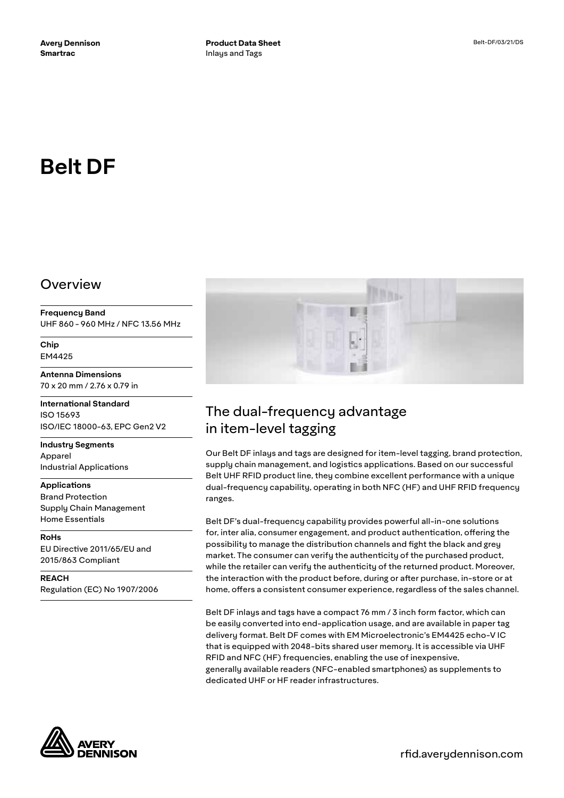# **Belt DF**

## Overview

**Frequency Band** UHF 860 - 960 MHz / NFC 13.56 MHz

**Chip** EM4425

**Antenna Dimensions** 70 x 20 mm / 2.76 x 0.79 in

**International Standard** ISO 15693 ISO/IEC 18000-63, EPC Gen2 V2

**Industry Segments** Apparel Industrial Applications

**Applications** Brand Protection Supply Chain Management Home Essentials

**RoHs** EU Directive 2011/65/EU and 2015/863 Compliant

**REACH** Regulation (EC) No 1907/2006



## The dual-frequency advantage in item-level tagging

Our Belt DF inlays and tags are designed for item-level tagging, brand protection, supply chain management, and logistics applications. Based on our successful Belt UHF RFID product line, they combine excellent performance with a unique dual-frequency capability, operating in both NFC (HF) and UHF RFID frequency ranges.

Belt DF's dual-frequency capability provides powerful all-in-one solutions for, inter alia, consumer engagement, and product authentication, offering the possibility to manage the distribution channels and fight the black and grey market. The consumer can verify the authenticity of the purchased product, while the retailer can verify the authenticity of the returned product. Moreover, the interaction with the product before, during or after purchase, in-store or at home, offers a consistent consumer experience, regardless of the sales channel.

Belt DF inlays and tags have a compact 76 mm / 3 inch form factor, which can be easily converted into end-application usage, and are available in paper tag delivery format. Belt DF comes with EM Microelectronic's EM4425 echo-V IC that is equipped with 2048-bits shared user memory. It is accessible via UHF RFID and NFC (HF) frequencies, enabling the use of inexpensive, generally available readers (NFC-enabled smartphones) as supplements to dedicated UHF or HF reader infrastructures.